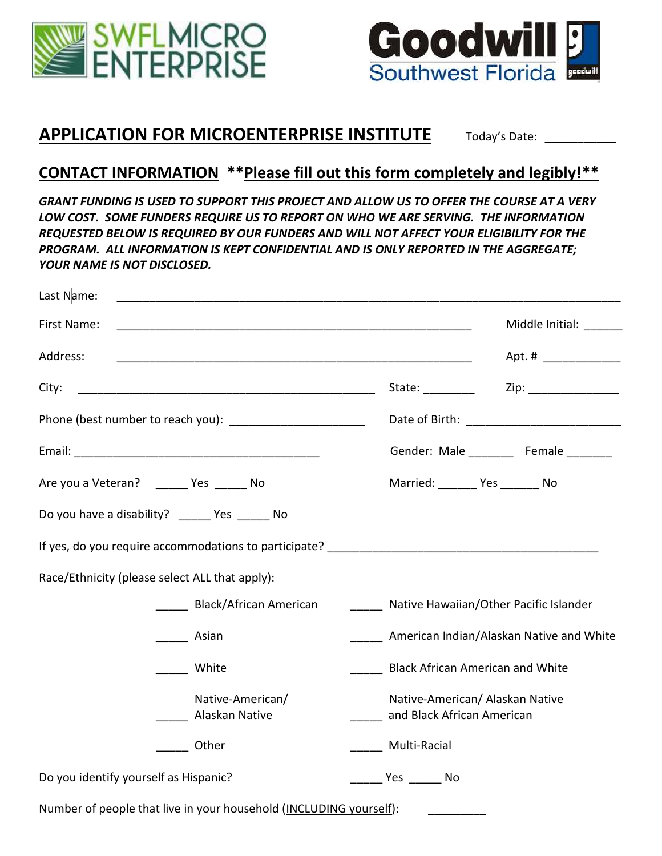



## **APPLICATION FOR MICROENTERPRISE INSTITUTE** Today's Date:

## **CONTACT INFORMATION \*\*Please fill out this form completely and legibly!\*\***

*GRANT FUNDING IS USED TO SUPPORT THIS PROJECT AND ALLOW US TO OFFER THE COURSE AT A VERY LOW COST. SOME FUNDERS REQUIRE US TO REPORT ON WHO WE ARE SERVING. THE INFORMATION REQUESTED BELOW IS REQUIRED BY OUR FUNDERS AND WILL NOT AFFECT YOUR ELIGIBILITY FOR THE PROGRAM. ALL INFORMATION IS KEPT CONFIDENTIAL AND IS ONLY REPORTED IN THE AGGREGATE; YOUR NAME IS NOT DISCLOSED.*

| Last Name:                                                  |                                                |                                                               |                                          |
|-------------------------------------------------------------|------------------------------------------------|---------------------------------------------------------------|------------------------------------------|
| First Name:                                                 |                                                |                                                               | Middle Initial: _______                  |
| Address:                                                    |                                                |                                                               | Apt. # ______________                    |
| City:                                                       |                                                |                                                               |                                          |
| Phone (best number to reach you): _________________________ |                                                |                                                               |                                          |
|                                                             |                                                |                                                               | Gender: Male _________ Female ________   |
| Are you a Veteran? ________ Yes _______ No                  |                                                | Married: ________ Yes _______ No                              |                                          |
|                                                             | Do you have a disability? ______ Yes ______ No |                                                               |                                          |
|                                                             |                                                |                                                               |                                          |
|                                                             | Race/Ethnicity (please select ALL that apply): |                                                               |                                          |
|                                                             | Black/African American                         | _____ Native Hawaiian/Other Pacific Islander                  |                                          |
|                                                             | <b>Asian</b>                                   |                                                               | American Indian/Alaskan Native and White |
|                                                             | <b>White</b>                                   | <b>Black African American and White</b>                       |                                          |
|                                                             | Native-American/<br>Alaskan Native             | Native-American/ Alaskan Native<br>and Black African American |                                          |
|                                                             | Other                                          | Multi-Racial                                                  |                                          |
| Do you identify yourself as Hispanic?                       |                                                | Yes No                                                        |                                          |

Number of people that live in your household (INCLUDING yourself):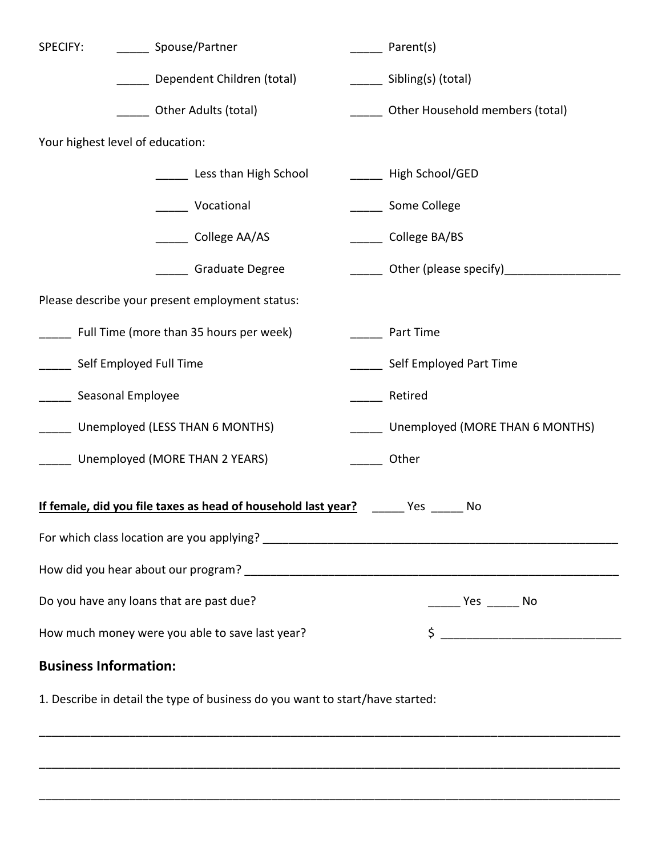| SPECIFY:                                                                            | Spouse/Partner             |  | Parent(s)                       |  |
|-------------------------------------------------------------------------------------|----------------------------|--|---------------------------------|--|
|                                                                                     | Dependent Children (total) |  | _______ Sibling(s) (total)      |  |
| Other Adults (total)                                                                |                            |  | Other Household members (total) |  |
| Your highest level of education:                                                    |                            |  |                                 |  |
|                                                                                     | Less than High School      |  | High School/GED                 |  |
|                                                                                     | Vocational                 |  | Some College                    |  |
|                                                                                     | ___ College AA/AS          |  | College BA/BS                   |  |
|                                                                                     | <b>Graduate Degree</b>     |  |                                 |  |
| Please describe your present employment status:                                     |                            |  |                                 |  |
| Full Time (more than 35 hours per week)                                             |                            |  | Part Time                       |  |
| Self Employed Full Time                                                             |                            |  | Self Employed Part Time         |  |
| Seasonal Employee                                                                   |                            |  | Retired                         |  |
| Unemployed (LESS THAN 6 MONTHS)                                                     |                            |  | Unemployed (MORE THAN 6 MONTHS) |  |
| Unemployed (MORE THAN 2 YEARS)                                                      |                            |  | Other                           |  |
| If female, did you file taxes as head of household last year?<br><b>Press</b><br>No |                            |  |                                 |  |
|                                                                                     |                            |  |                                 |  |
|                                                                                     |                            |  |                                 |  |
| Do you have any loans that are past due?                                            |                            |  |                                 |  |
| How much money were you able to save last year?                                     |                            |  | $\frac{1}{2}$                   |  |
| <b>Business Information:</b>                                                        |                            |  |                                 |  |

\_\_\_\_\_\_\_\_\_\_\_\_\_\_\_\_\_\_\_\_\_\_\_\_\_\_\_\_\_\_\_\_\_\_\_\_\_\_\_\_\_\_\_\_\_\_\_\_\_\_\_\_\_\_\_\_\_\_\_\_\_\_\_\_\_\_\_\_\_\_\_\_\_\_\_\_\_\_\_\_\_\_\_\_\_\_\_\_\_\_

\_\_\_\_\_\_\_\_\_\_\_\_\_\_\_\_\_\_\_\_\_\_\_\_\_\_\_\_\_\_\_\_\_\_\_\_\_\_\_\_\_\_\_\_\_\_\_\_\_\_\_\_\_\_\_\_\_\_\_\_\_\_\_\_\_\_\_\_\_\_\_\_\_\_\_\_\_\_\_\_\_\_\_\_\_\_\_\_\_\_

\_\_\_\_\_\_\_\_\_\_\_\_\_\_\_\_\_\_\_\_\_\_\_\_\_\_\_\_\_\_\_\_\_\_\_\_\_\_\_\_\_\_\_\_\_\_\_\_\_\_\_\_\_\_\_\_\_\_\_\_\_\_\_\_\_\_\_\_\_\_\_\_\_\_\_\_\_\_\_\_\_\_\_\_\_\_\_\_\_\_

1. Describe in detail the type of business do you want to start/have started: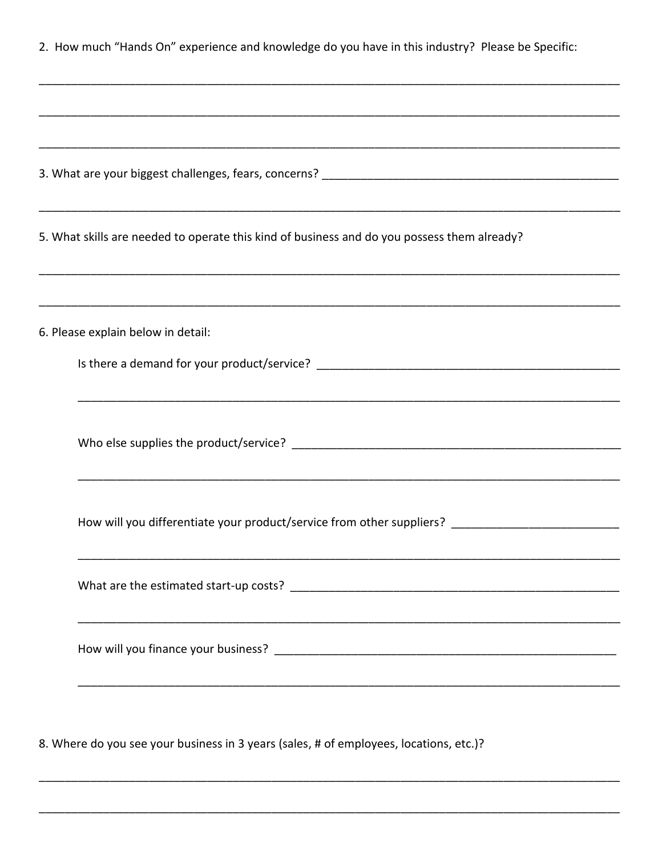| 2. How much "Hands On" experience and knowledge do you have in this industry? Please be Specific:   |  |  |  |  |
|-----------------------------------------------------------------------------------------------------|--|--|--|--|
|                                                                                                     |  |  |  |  |
|                                                                                                     |  |  |  |  |
| 5. What skills are needed to operate this kind of business and do you possess them already?         |  |  |  |  |
|                                                                                                     |  |  |  |  |
| 6. Please explain below in detail:                                                                  |  |  |  |  |
|                                                                                                     |  |  |  |  |
|                                                                                                     |  |  |  |  |
| How will you differentiate your product/service from other suppliers? _____________________________ |  |  |  |  |
|                                                                                                     |  |  |  |  |
|                                                                                                     |  |  |  |  |
|                                                                                                     |  |  |  |  |

8. Where do you see your business in 3 years (sales, # of employees, locations, etc.)?